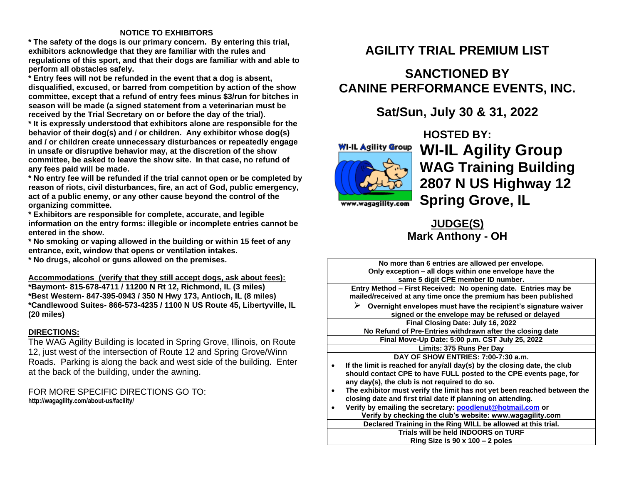### **NOTICE TO EXHIBITORS**

**\* The safety of the dogs is our primary concern. By entering this trial, exhibitors acknowledge that they are familiar with the rules and regulations of this sport, and that their dogs are familiar with and able to perform all obstacles safely.**

**\* Entry fees will not be refunded in the event that a dog is absent, disqualified, excused, or barred from competition by action of the show committee, except that a refund of entry fees minus \$3/run for bitches in season will be made (a signed statement from a veterinarian must be received by the Trial Secretary on or before the day of the trial).**

**\* It is expressly understood that exhibitors alone are responsible for the behavior of their dog(s) and / or children. Any exhibitor whose dog(s) and / or children create unnecessary disturbances or repeatedly engage in unsafe or disruptive behavior may, at the discretion of the show committee, be asked to leave the show site. In that case, no refund of any fees paid will be made.**

**\* No entry fee will be refunded if the trial cannot open or be completed by reason of riots, civil disturbances, fire, an act of God, public emergency, act of a public enemy, or any other cause beyond the control of the organizing committee.**

**\* Exhibitors are responsible for complete, accurate, and legible information on the entry forms: illegible or incomplete entries cannot be entered in the show.**

**\* No smoking or vaping allowed in the building or within 15 feet of any entrance, exit, window that opens or ventilation intakes.**

**\* No drugs, alcohol or guns allowed on the premises.**

**Accommodations (verify that they still accept dogs, ask about fees): \*Baymont- 815-678-4711 / 11200 N Rt 12, Richmond, IL (3 miles)**

**\*Best Western- 847-395-0943 / 350 N Hwy 173, Antioch, IL (8 miles) \*Candlewood Suites- 866-573-4235 / 1100 N US Route 45, Libertyville, IL (20 miles)**

### **DIRECTIONS:**

The WAG Agility Building is located in Spring Grove, Illinois, on Route 12, just west of the intersection of Route 12 and Spring Grove/Winn Roads. Parking is along the back and west side of the building. Enter at the back of the building, under the awning.

FOR MORE SPECIFIC DIRECTIONS GO TO: **http://wagagility.com/about-us/facility/**

## **AGILITY TRIAL PREMIUM LIST**

# **SANCTIONED BY CANINE PERFORMANCE EVENTS, INC.**

## **Sat/Sun, July 30 & 31, 2022**



**HOSTED BY: WI-IL Agility Group WAG Training Building 2807 N US Highway 12 Spring Grove, IL**

ww.wagagility.com

## **JUDGE(S) Mark Anthony - OH**

| No more than 6 entries are allowed per envelope.<br>Only exception - all dogs within one envelope have the<br>same 5 digit CPE member ID number. |
|--------------------------------------------------------------------------------------------------------------------------------------------------|
|                                                                                                                                                  |
| Entry Method – First Received: No opening date. Entries may be<br>mailed/received at any time once the premium has been published                |
| $\triangleright$ Overnight envelopes must have the recipient's signature waiver                                                                  |
| signed or the envelope may be refused or delayed                                                                                                 |
| Final Closing Date: July 16, 2022                                                                                                                |
| No Refund of Pre-Entries withdrawn after the closing date                                                                                        |
|                                                                                                                                                  |
| Final Move-Up Date: 5:00 p.m. CST July 25, 2022                                                                                                  |
| Limits: 375 Runs Per Day                                                                                                                         |
| DAY OF SHOW ENTRIES: 7:00-7:30 a.m.                                                                                                              |
| If the limit is reached for any/all day(s) by the closing date, the club                                                                         |
| should contact CPE to have FULL posted to the CPE events page, for                                                                               |
| any day(s), the club is not required to do so.                                                                                                   |
|                                                                                                                                                  |
| The exhibitor must verify the limit has not yet been reached between the                                                                         |
| closing date and first trial date if planning on attending.                                                                                      |
| Verify by emailing the secretary: poodlenut@hotmail.com or                                                                                       |
| Verify by checking the club's website: www.wagagility.com                                                                                        |
| Declared Training in the Ring WILL be allowed at this trial.                                                                                     |
| Trials will be held INDOORS on TURF                                                                                                              |
| Ring Size is $90 \times 100 - 2$ poles                                                                                                           |
|                                                                                                                                                  |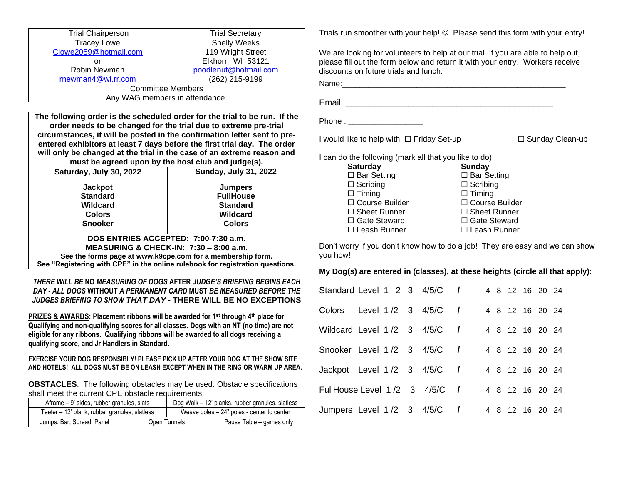| <b>Trial Chairperson</b>                                                                                                                                                                                                                                                                                              | <b>Trial Secretary</b>                                                                                                                                                                                                                                                                                                                                                           |  |  |  |  |  |  |
|-----------------------------------------------------------------------------------------------------------------------------------------------------------------------------------------------------------------------------------------------------------------------------------------------------------------------|----------------------------------------------------------------------------------------------------------------------------------------------------------------------------------------------------------------------------------------------------------------------------------------------------------------------------------------------------------------------------------|--|--|--|--|--|--|
| <b>Tracey Lowe</b>                                                                                                                                                                                                                                                                                                    | <b>Shelly Weeks</b>                                                                                                                                                                                                                                                                                                                                                              |  |  |  |  |  |  |
| Clowe2059@hotmail.com                                                                                                                                                                                                                                                                                                 | 119 Wright Street                                                                                                                                                                                                                                                                                                                                                                |  |  |  |  |  |  |
| $\alpha$ r                                                                                                                                                                                                                                                                                                            | Elkhorn, WI 53121                                                                                                                                                                                                                                                                                                                                                                |  |  |  |  |  |  |
| Robin Newman                                                                                                                                                                                                                                                                                                          | poodlenut@hotmail.com                                                                                                                                                                                                                                                                                                                                                            |  |  |  |  |  |  |
| rnewman4@wi.rr.com                                                                                                                                                                                                                                                                                                    | (262) 215-9199                                                                                                                                                                                                                                                                                                                                                                   |  |  |  |  |  |  |
|                                                                                                                                                                                                                                                                                                                       | <b>Committee Members</b>                                                                                                                                                                                                                                                                                                                                                         |  |  |  |  |  |  |
|                                                                                                                                                                                                                                                                                                                       | Any WAG members in attendance.                                                                                                                                                                                                                                                                                                                                                   |  |  |  |  |  |  |
|                                                                                                                                                                                                                                                                                                                       |                                                                                                                                                                                                                                                                                                                                                                                  |  |  |  |  |  |  |
|                                                                                                                                                                                                                                                                                                                       | The following order is the scheduled order for the trial to be run. If the<br>order needs to be changed for the trial due to extreme pre-trial<br>circumstances, it will be posted in the confirmation letter sent to pre-<br>entered exhibitors at least 7 days before the first trial day. The order<br>will only be changed at the trial in the case of an extreme reason and |  |  |  |  |  |  |
|                                                                                                                                                                                                                                                                                                                       | must be agreed upon by the host club and judge(s).                                                                                                                                                                                                                                                                                                                               |  |  |  |  |  |  |
| Saturday, July 30, 2022                                                                                                                                                                                                                                                                                               | <b>Sunday, July 31, 2022</b>                                                                                                                                                                                                                                                                                                                                                     |  |  |  |  |  |  |
| <b>Jackpot</b>                                                                                                                                                                                                                                                                                                        | <b>Jumpers</b>                                                                                                                                                                                                                                                                                                                                                                   |  |  |  |  |  |  |
| <b>Standard</b>                                                                                                                                                                                                                                                                                                       | <b>FullHouse</b>                                                                                                                                                                                                                                                                                                                                                                 |  |  |  |  |  |  |
| Wildcard                                                                                                                                                                                                                                                                                                              | <b>Standard</b>                                                                                                                                                                                                                                                                                                                                                                  |  |  |  |  |  |  |
| <b>Colors</b>                                                                                                                                                                                                                                                                                                         | Wildcard                                                                                                                                                                                                                                                                                                                                                                         |  |  |  |  |  |  |
| <b>Snooker</b>                                                                                                                                                                                                                                                                                                        | <b>Colors</b>                                                                                                                                                                                                                                                                                                                                                                    |  |  |  |  |  |  |
|                                                                                                                                                                                                                                                                                                                       |                                                                                                                                                                                                                                                                                                                                                                                  |  |  |  |  |  |  |
|                                                                                                                                                                                                                                                                                                                       | DOS ENTRIES ACCEPTED: 7:00-7:30 a.m.                                                                                                                                                                                                                                                                                                                                             |  |  |  |  |  |  |
|                                                                                                                                                                                                                                                                                                                       | <b>MEASURING &amp; CHECK-IN: 7:30 - 8:00 a.m.</b>                                                                                                                                                                                                                                                                                                                                |  |  |  |  |  |  |
|                                                                                                                                                                                                                                                                                                                       | See the forms page at www.k9cpe.com for a membership form.                                                                                                                                                                                                                                                                                                                       |  |  |  |  |  |  |
|                                                                                                                                                                                                                                                                                                                       | See "Registering with CPE" in the online rulebook for registration questions.                                                                                                                                                                                                                                                                                                    |  |  |  |  |  |  |
|                                                                                                                                                                                                                                                                                                                       | THERE WILL BE NO MEASURING OF DOGS AFTER JUDGE'S BRIEFING BEGINS EACH<br>DAY - ALL DOGS WITHOUT A PERMANENT CARD MUST BE MEASURED BEFORE THE<br>JUDGES BRIEFING TO SHOW THAT DAY - THERE WILL BE NO EXCEPTIONS                                                                                                                                                                   |  |  |  |  |  |  |
| PRIZES & AWARDS: Placement ribbons will be awarded for 1st through 4th place for<br>Qualifying and non-qualifying scores for all classes. Dogs with an NT (no time) are not<br>eligible for any ribbons. Qualifying ribbons will be awarded to all dogs receiving a<br>qualifying score, and Jr Handlers in Standard. |                                                                                                                                                                                                                                                                                                                                                                                  |  |  |  |  |  |  |
|                                                                                                                                                                                                                                                                                                                       | EXERCISE YOUR DOG RESPONSIBLY! PLEASE PICK UP AFTER YOUR DOG AT THE SHOW SITE<br>AND HOTELS!  ALL DOGS MUST BE ON LEASH EXCEPT WHEN IN THE RING OR WARM UP AREA.                                                                                                                                                                                                                 |  |  |  |  |  |  |

**OBSTACLES**: The following obstacles may be used. Obstacle specifications shall meet the current CPE obstacle requirements

| Aframe – 9' sides, rubber granules, slats     |                                              | Dog Walk – 12' planks, rubber granules, slatless |  |  |
|-----------------------------------------------|----------------------------------------------|--------------------------------------------------|--|--|
| Teeter – 12' plank, rubber granules, slatless | Weave poles $-24$ " poles - center to center |                                                  |  |  |
| Jumps: Bar, Spread, Panel                     | Open Tunnels                                 | Pause Table – games only                         |  |  |

Trials run smoother with your help! © Please send this form with your entry!

We are looking for volunteers to help at our trial. If you are able to help out, please fill out the form below and return it with your entry. Workers receive discounts on future trials and lunch.

Name:\_\_\_\_\_\_\_\_\_\_\_\_\_\_\_\_\_\_\_\_\_\_\_\_\_\_\_\_\_\_\_\_\_\_\_\_\_\_\_\_\_\_\_\_\_\_\_\_\_\_\_

Email: \_\_\_\_\_\_\_\_\_\_\_\_\_\_\_\_\_\_\_\_\_\_\_\_\_\_\_\_\_\_\_\_\_\_\_\_\_\_\_\_\_\_\_

| Phone: |  |
|--------|--|
|        |  |

I would like to help with: Friday Set-up Sunday Clean-up

I can do the following (mark all that you like to do):

| <b>Saturday</b>     | Sunday              |
|---------------------|---------------------|
| $\Box$ Bar Setting  | $\Box$ Bar Setting  |
| $\Box$ Scribing     | $\Box$ Scribing     |
| $\Box$ Timing       | $\Box$ Timing       |
| □ Course Builder    | □ Course Builder    |
| $\Box$ Sheet Runner | $\Box$ Sheet Runner |
| $\Box$ Gate Steward | □ Gate Steward      |
| $\Box$ Leash Runner | $\Box$ Leash Runner |

Don't worry if you don't know how to do a job! They are easy and we can show you how!

**My Dog(s) are entered in (classes), at these heights (circle all that apply)**:

| Standard Level 1 2 3 4/5/C /  |  |  |                      |  |  | 4 8 12 16 20 24 |  |  |
|-------------------------------|--|--|----------------------|--|--|-----------------|--|--|
| Colors                        |  |  | Level 1 /2 3 4/5/C / |  |  | 4 8 12 16 20 24 |  |  |
| Wildcard Level 1/2 3 4/5/C /  |  |  |                      |  |  | 4 8 12 16 20 24 |  |  |
| Snooker Level 1/2 3 4/5/C /   |  |  |                      |  |  | 4 8 12 16 20 24 |  |  |
| Jackpot Level 1/2 3 4/5/C /   |  |  |                      |  |  | 4 8 12 16 20 24 |  |  |
| FullHouse Level 1/2 3 4/5/C / |  |  |                      |  |  | 4 8 12 16 20 24 |  |  |
| Jumpers Level 1/2 3 4/5/C /   |  |  |                      |  |  | 4 8 12 16 20 24 |  |  |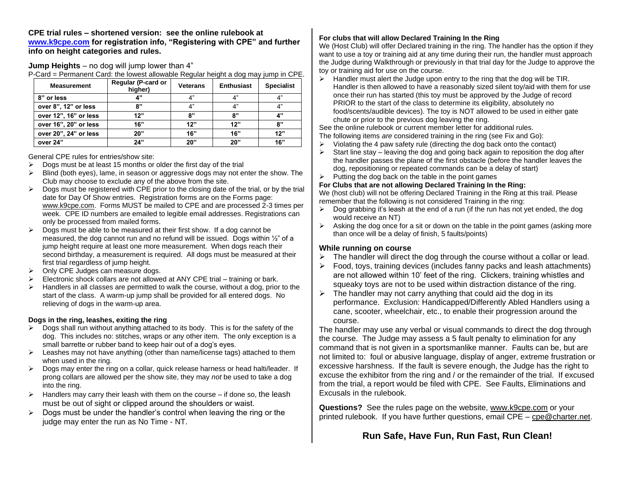**CPE trial rules – shortened version: see the online rulebook at [www.k9cpe.com](http://www.k9cpe.com/) for registration info, "Registering with CPE" and further info on height categories and rules.**

**Jump Heights** – no dog will jump lower than 4"

P-Card = Permanent Card: the lowest allowable Regular height a dog may jump in CPE.

| <b>Measurement</b>    | Regular (P-card or<br>higher) | <b>Veterans</b> | <b>Enthusiast</b> | <b>Specialist</b> |
|-----------------------|-------------------------------|-----------------|-------------------|-------------------|
| 8" or less            | 4"                            | 4"              | 4"                | 4"                |
| over 8", 12" or less  | ጸ"                            | 4"              | 4"                | 4"                |
| over 12", 16" or less | 12"                           | 8"              | 8"                | 4"                |
| over 16", 20" or less | 16"                           | 12"             | 12"               | 8"                |
| over 20", 24" or less | 20"                           | 16"             | 16"               | 12"               |
| over 24"              | 24"                           | 20"             | 20"               | 16"               |

General CPE rules for entries/show site:

- $\triangleright$  Dogs must be at least 15 months or older the first day of the trial
- $\triangleright$  Blind (both eyes), lame, in season or aggressive dogs may not enter the show. The Club may choose to exclude any of the above from the site.
- $\triangleright$  Dogs must be registered with CPE prior to the closing date of the trial, or by the trial date for Day Of Show entries. Registration forms are on the Forms page: [www.k9cpe.com.](http://www.k9cpe.com/) Forms MUST be mailed to CPE and are processed 2-3 times per week. CPE ID numbers are emailed to legible email addresses. Registrations can only be processed from mailed forms.
- $\triangleright$  Dogs must be able to be measured at their first show. If a dog cannot be measured, the dog cannot run and no refund will be issued. Dogs within ½" of a jump height require at least one more measurement. When dogs reach their second birthday, a measurement is required. All dogs must be measured at their first trial regardless of jump height.
- ➢ Only CPE Judges can measure dogs.
- $\triangleright$  Electronic shock collars are not allowed at ANY CPE trial training or bark.
- $\triangleright$  Handlers in all classes are permitted to walk the course, without a dog, prior to the start of the class. A warm-up jump shall be provided for all entered dogs. No relieving of dogs in the warm-up area.

#### **Dogs in the ring, leashes, exiting the ring**

- $\triangleright$  Dogs shall run without anything attached to its body. This is for the safety of the dog. This includes no: stitches, wraps or any other item. The only exception is a small barrette or rubber band to keep hair out of a dog's eyes.
- $\triangleright$  Leashes may not have anything (other than name/license tags) attached to them when used in the ring.
- $\triangleright$  Dogs may enter the ring on a collar, quick release harness or head halti/leader. If prong collars are allowed per the show site, they may *not* be used to take a dog into the ring.
- $\triangleright$  Handlers may carry their leash with them on the course if done so, the leash must be out of sight or clipped around the shoulders or waist.
- $\triangleright$  Dogs must be under the handler's control when leaving the ring or the judge may enter the run as No Time - NT.

### **For clubs that will allow Declared Training In the Ring**

We (Host Club) will offer Declared training in the ring. The handler has the option if they want to use a toy or training aid at any time during their run, the handler must approach the Judge during Walkthrough or previously in that trial day for the Judge to approve the toy or training aid for use on the course.

➢ Handler must alert the Judge upon entry to the ring that the dog will be TIR. Handler is then allowed to have a reasonably sized silent toy/aid with them for use once their run has started (this toy must be approved by the Judge of record PRIOR to the start of the class to determine its eligibility, absolutely no food/scents/audible devices). The toy is NOT allowed to be used in either gate chute or prior to the previous dog leaving the ring.

See the online rulebook or current member letter for additional rules.

The following items *are* considered training in the ring (see Fix and Go):

- $\triangleright$  Violating the 4 paw safety rule (directing the dog back onto the contact)
- Start line stay leaving the dog and going back again to reposition the dog after the handler passes the plane of the first obstacle (before the handler leaves the dog, repositioning or repeated commands can be a delay of start)
- $\triangleright$  Putting the dog back on the table in the point games

#### **For Clubs that are not allowing Declared Training In the Ring:**

We (host club) will not be offering Declared Training in the Ring at this trail. Please remember that the following is not considered Training in the ring:

- $\triangleright$  Dog grabbing it's leash at the end of a run (if the run has not yet ended, the dog would receive an NT)
- $\triangleright$  Asking the dog once for a sit or down on the table in the point games (asking more than once will be a delay of finish, 5 faults/points)

#### **While running on course**

- $\triangleright$  The handler will direct the dog through the course without a collar or lead.
- ➢ Food, toys, training devices (includes fanny packs and leash attachments) are not allowed within 10' feet of the ring. Clickers, training whistles and squeaky toys are not to be used within distraction distance of the ring.
- $\triangleright$  The handler may not carry anything that could aid the dog in its performance. Exclusion: Handicapped/Differently Abled Handlers using a cane, scooter, wheelchair, etc., to enable their progression around the course.

The handler may use any verbal or visual commands to direct the dog through the course. The Judge may assess a 5 fault penalty to elimination for any command that is not given in a sportsmanlike manner. Faults can be, but are not limited to: foul or abusive language, display of anger, extreme frustration or excessive harshness. If the fault is severe enough, the Judge has the right to excuse the exhibitor from the ring and / or the remainder of the trial. If excused from the trial, a report would be filed with CPE. See Faults, Eliminations and Excusals in the rulebook.

**Questions?** See the rules page on the website, [www.k9cpe.com](http://www.k9cpe.com/) or your printed rulebook. If you have further questions, email CPE – [cpe@charter.net.](mailto:cpe@charter.net)

## **Run Safe, Have Fun, Run Fast, Run Clean!**